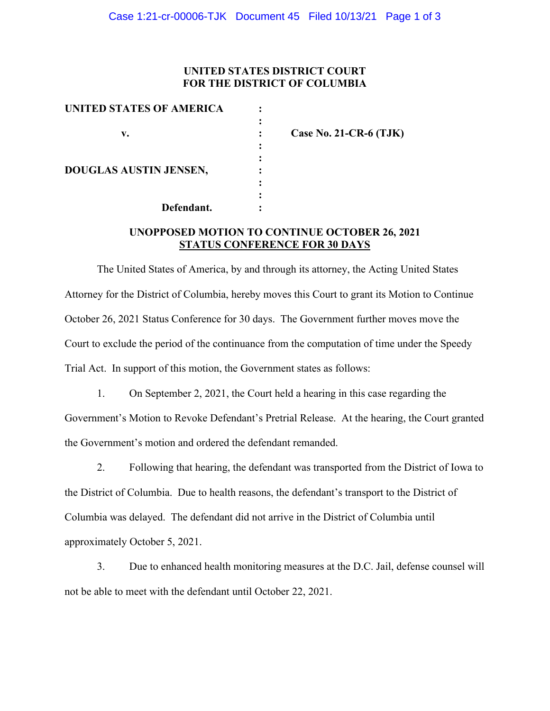### **UNITED STATES DISTRICT COURT FOR THE DISTRICT OF COLUMBIA**

| UNITED STATES OF AMERICA      |                          |
|-------------------------------|--------------------------|
| v.                            | Case No. 21-CR-6 $(TJK)$ |
| <b>DOUGLAS AUSTIN JENSEN,</b> |                          |
| Defendant.                    |                          |

# **UNOPPOSED MOTION TO CONTINUE OCTOBER 26, 2021 STATUS CONFERENCE FOR 30 DAYS**

The United States of America, by and through its attorney, the Acting United States Attorney for the District of Columbia, hereby moves this Court to grant its Motion to Continue October 26, 2021 Status Conference for 30 days. The Government further moves move the Court to exclude the period of the continuance from the computation of time under the Speedy Trial Act. In support of this motion, the Government states as follows:

1. On September 2, 2021, the Court held a hearing in this case regarding the Government's Motion to Revoke Defendant's Pretrial Release. At the hearing, the Court granted the Government's motion and ordered the defendant remanded.

2. Following that hearing, the defendant was transported from the District of Iowa to the District of Columbia. Due to health reasons, the defendant's transport to the District of Columbia was delayed. The defendant did not arrive in the District of Columbia until approximately October 5, 2021.

3. Due to enhanced health monitoring measures at the D.C. Jail, defense counsel will not be able to meet with the defendant until October 22, 2021.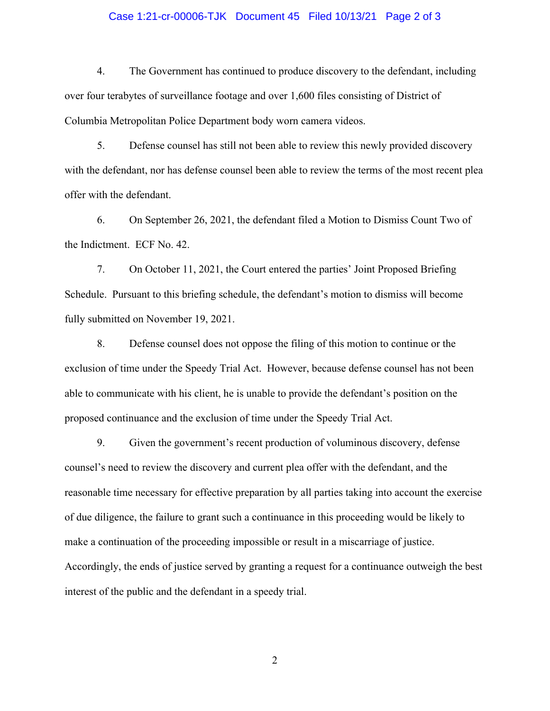#### Case 1:21-cr-00006-TJK Document 45 Filed 10/13/21 Page 2 of 3

4. The Government has continued to produce discovery to the defendant, including over four terabytes of surveillance footage and over 1,600 files consisting of District of Columbia Metropolitan Police Department body worn camera videos.

5. Defense counsel has still not been able to review this newly provided discovery with the defendant, nor has defense counsel been able to review the terms of the most recent plea offer with the defendant.

6. On September 26, 2021, the defendant filed a Motion to Dismiss Count Two of the Indictment. ECF No. 42.

7. On October 11, 2021, the Court entered the parties' Joint Proposed Briefing Schedule. Pursuant to this briefing schedule, the defendant's motion to dismiss will become fully submitted on November 19, 2021.

8. Defense counsel does not oppose the filing of this motion to continue or the exclusion of time under the Speedy Trial Act. However, because defense counsel has not been able to communicate with his client, he is unable to provide the defendant's position on the proposed continuance and the exclusion of time under the Speedy Trial Act.

9. Given the government's recent production of voluminous discovery, defense counsel's need to review the discovery and current plea offer with the defendant, and the reasonable time necessary for effective preparation by all parties taking into account the exercise of due diligence, the failure to grant such a continuance in this proceeding would be likely to make a continuation of the proceeding impossible or result in a miscarriage of justice. Accordingly, the ends of justice served by granting a request for a continuance outweigh the best interest of the public and the defendant in a speedy trial.

2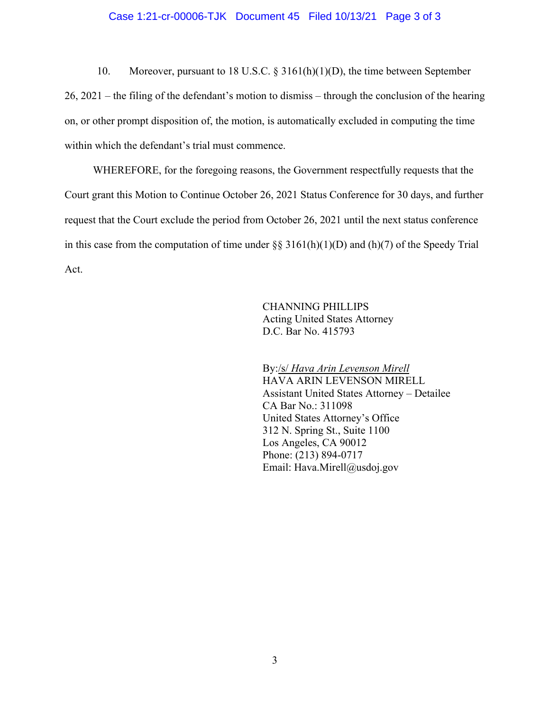#### Case 1:21-cr-00006-TJK Document 45 Filed 10/13/21 Page 3 of 3

10. Moreover, pursuant to 18 U.S.C. § 3161(h)(1)(D), the time between September 26, 2021 – the filing of the defendant's motion to dismiss – through the conclusion of the hearing on, or other prompt disposition of, the motion, is automatically excluded in computing the time within which the defendant's trial must commence.

WHEREFORE, for the foregoing reasons, the Government respectfully requests that the Court grant this Motion to Continue October 26, 2021 Status Conference for 30 days, and further request that the Court exclude the period from October 26, 2021 until the next status conference in this case from the computation of time under  $\S$ § 3161(h)(1)(D) and (h)(7) of the Speedy Trial Act.

> CHANNING PHILLIPS Acting United States Attorney D.C. Bar No. 415793

By:/s/ *Hava Arin Levenson Mirell* HAVA ARIN LEVENSON MIRELL Assistant United States Attorney – Detailee CA Bar No.: 311098 United States Attorney's Office 312 N. Spring St., Suite 1100 Los Angeles, CA 90012 Phone: (213) 894-0717 Email: Hava.Mirell@usdoj.gov